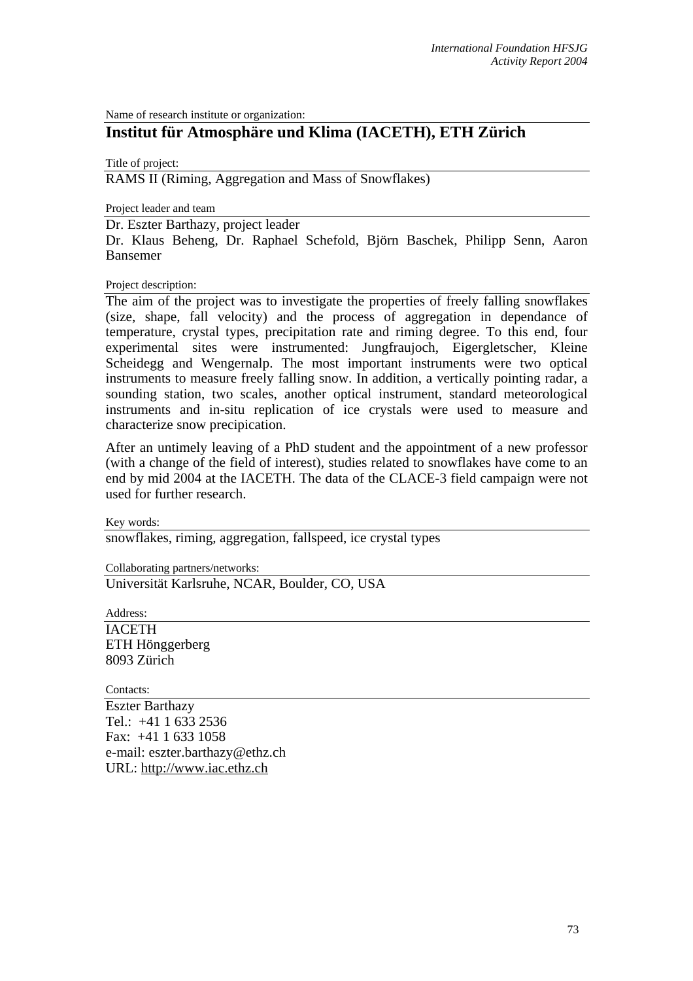Name of research institute or organization:

## **Institut für Atmosphäre und Klima (IACETH), ETH Zürich**

Title of project: RAMS II (Riming, Aggregation and Mass of Snowflakes)

Project leader and team

Dr. Eszter Barthazy, project leader

Dr. Klaus Beheng, Dr. Raphael Schefold, Björn Baschek, Philipp Senn, Aaron Bansemer

Project description:

The aim of the project was to investigate the properties of freely falling snowflakes (size, shape, fall velocity) and the process of aggregation in dependance of temperature, crystal types, precipitation rate and riming degree. To this end, four experimental sites were instrumented: Jungfraujoch, Eigergletscher, Kleine Scheidegg and Wengernalp. The most important instruments were two optical instruments to measure freely falling snow. In addition, a vertically pointing radar, a sounding station, two scales, another optical instrument, standard meteorological instruments and in-situ replication of ice crystals were used to measure and characterize snow precipication.

After an untimely leaving of a PhD student and the appointment of a new professor (with a change of the field of interest), studies related to snowflakes have come to an end by mid 2004 at the IACETH. The data of the CLACE-3 field campaign were not used for further research.

Key words:

snowflakes, riming, aggregation, fallspeed, ice crystal types

Collaborating partners/networks:

Universität Karlsruhe, NCAR, Boulder, CO, USA

Address: IACETH ETH Hönggerberg 8093 Zürich

Contacts:

Eszter Barthazy Tel.: +41 1 633 2536 Fax: +41 1 633 1058 e-mail: eszter.barthazy@ethz.ch URL: [http://www.iac.ethz.ch](http://www.iac.ethz.ch/)